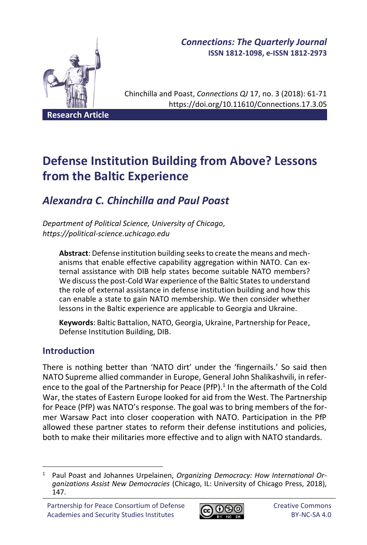

# *Connections: The Quarterly Journal* **ISSN 1812-1098, e-ISSN 1812-2973**

Chinchilla and Poast, *Connections QJ* 17, no. 3 (2018): 61-71 https://doi.org/10.11610/Connections.17.3.05

# **Defense Institution Building from Above? Lessons from the Baltic Experience**

# *Alexandra C. Chinchilla and Paul Poast*

*Department of Political Science, University of Chicago, https://political-science.uchicago.edu*

**Abstract**: Defense institution building seeks to create the means and mechanisms that enable effective capability aggregation within NATO. Can external assistance with DIB help states become suitable NATO members? We discuss the post-Cold War experience of the Baltic States to understand the role of external assistance in defense institution building and how this can enable a state to gain NATO membership. We then consider whether lessons in the Baltic experience are applicable to Georgia and Ukraine.

**Keywords**: Baltic Battalion, NATO, Georgia, Ukraine, Partnership for Peace, Defense Institution Building, DIB.

# **Introduction**

There is nothing better than 'NATO dirt' under the 'fingernails.' So said then NATO Supreme allied commander in Europe, General John Shalikashvili, in reference to the goal of the Partnership for Peace (PfP).<sup>1</sup> In the aftermath of the Cold War, the states of Eastern Europe looked for aid from the West. The Partnership for Peace (PfP) was NATO's response. The goal was to bring members of the former Warsaw Pact into closer cooperation with NATO. Participation in the PfP allowed these partner states to reform their defense institutions and policies, both to make their militaries more effective and to align with NATO standards.



<sup>1</sup> Paul Poast and Johannes Urpelainen, *Organizing Democracy: How International Organizations Assist New Democracies* (Chicago, IL: University of Chicago Press, 2018), 147.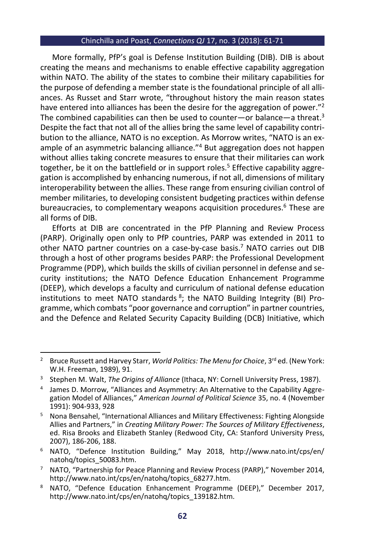More formally, PfP's goal is Defense Institution Building (DIB). DIB is about creating the means and mechanisms to enable effective capability aggregation within NATO. The ability of the states to combine their military capabilities for the purpose of defending a member state is the foundational principle of all alliances. As Russet and Starr wrote, "throughout history the main reason states have entered into alliances has been the desire for the aggregation of power."<sup>2</sup> The combined capabilities can then be used to counter—or balance—a threat.<sup>3</sup> Despite the fact that not all of the allies bring the same level of capability contribution to the alliance, NATO is no exception. As Morrow writes, "NATO is an example of an asymmetric balancing alliance."<sup>4</sup> But aggregation does not happen without allies taking concrete measures to ensure that their militaries can work together, be it on the battlefield or in support roles.<sup>5</sup> Effective capability aggregation is accomplished by enhancing numerous, if not all, dimensions of military interoperability between the allies. These range from ensuring civilian control of member militaries, to developing consistent budgeting practices within defense bureaucracies, to complementary weapons acquisition procedures.<sup>6</sup> These are all forms of DIB.

Efforts at DIB are concentrated in the PfP Planning and Review Process (PARP). Originally open only to PfP countries, PARP was extended in 2011 to other NATO partner countries on a case-by-case basis.<sup>7</sup> NATO carries out DIB through a host of other programs besides PARP: the Professional Development Programme (PDP), which builds the skills of civilian personnel in defense and security institutions; the NATO Defence Education Enhancement Programme (DEEP), which develops a faculty and curriculum of national defense education institutions to meet NATO standards<sup>8</sup>; the NATO Building Integrity (BI) Programme, which combats "poor governance and corruption" in partner countries, and the Defence and Related Security Capacity Building (DCB) Initiative, which

<sup>&</sup>lt;sup>2</sup> Bruce Russett and Harvey Starr, *World Politics: The Menu for Choice*, 3<sup>rd</sup> ed. (New York: W.H. Freeman, 1989), 91.

<sup>&</sup>lt;sup>3</sup> Stephen M. Walt, *The Origins of Alliance* (Ithaca, NY: Cornell University Press, 1987).

<sup>4</sup> James D. Morrow, "Alliances and Asymmetry: An Alternative to the Capability Aggregation Model of Alliances," *American Journal of Political Science* 35, no. 4 (November 1991): 904-933, 928

<sup>&</sup>lt;sup>5</sup> Nona Bensahel, "International Alliances and Military Effectiveness: Fighting Alongside Allies and Partners," in *Creating Military Power: The Sources of Military Effectiveness*, ed. Risa Brooks and Elizabeth Stanley (Redwood City, CA: Stanford University Press, 2007), 186-206, 188.

<sup>6</sup> NATO, "Defence Institution Building," May 2018, http://www.nato.int/cps/en/ natohq/topics\_50083.htm.

<sup>7</sup> NATO, "Partnership for Peace Planning and Review Process (PARP)," November 2014, http://www.nato.int/cps/en/natohq/topics\_68277.htm.

<sup>8</sup> NATO, "Defence Education Enhancement Programme (DEEP)," December 2017, http://www.nato.int/cps/en/natohq/topics\_139182.htm.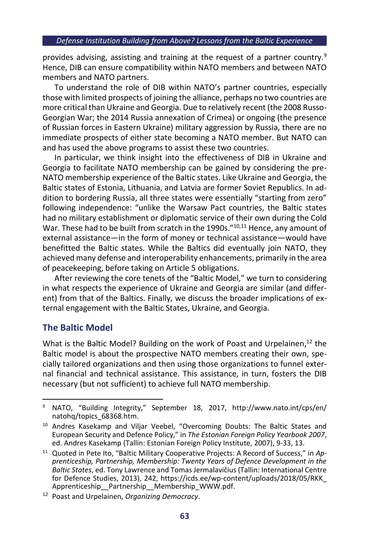provides advising, assisting and training at the request of a partner country.<sup>9</sup> Hence, DIB can ensure compatibility within NATO members and between NATO members and NATO partners.

To understand the role of DIB within NATO's partner countries, especially those with limited prospects of joining the alliance, perhaps no two countries are more critical than Ukraine and Georgia. Due to relatively recent (the 2008 Russo-Georgian War; the 2014 Russia annexation of Crimea) or ongoing (the presence of Russian forces in Eastern Ukraine) military aggression by Russia, there are no immediate prospects of either state becoming a NATO member. But NATO can and has used the above programs to assist these two countries.

In particular, we think insight into the effectiveness of DIB in Ukraine and Georgia to facilitate NATO membership can be gained by considering the pre-NATO membership experience of the Baltic states. Like Ukraine and Georgia, the Baltic states of Estonia, Lithuania, and Latvia are former Soviet Republics. In addition to bordering Russia, all three states were essentially "starting from zero" following independence: "unlike the Warsaw Pact countries, the Baltic states had no military establishment or diplomatic service of their own during the Cold War. These had to be built from scratch in the 1990s."<sup>10,11</sup> Hence, any amount of external assistance—in the form of money or technical assistance—would have benefitted the Baltic states. While the Baltics did eventually join NATO, they achieved many defense and interoperability enhancements, primarily in the area of peacekeeping, before taking on Article 5 obligations.

After reviewing the core tenets of the "Baltic Model," we turn to considering in what respects the experience of Ukraine and Georgia are similar (and different) from that of the Baltics. Finally, we discuss the broader implications of external engagement with the Baltic States, Ukraine, and Georgia.

# **The Baltic Model**

What is the Baltic Model? Building on the work of Poast and Urpelainen,<sup>12</sup> the Baltic model is about the prospective NATO members creating their own, specially tailored organizations and then using those organizations to funnel external financial and technical assistance. This assistance, in turn, fosters the DIB necessary (but not sufficient) to achieve full NATO membership.

<sup>9</sup> NATO, "Building Integrity," September 18, 2017, http://www.nato.int/cps/en/ natohq/topics\_68368.htm.

<sup>&</sup>lt;sup>10</sup> Andres Kasekamp and Viljar Veebel, "Overcoming Doubts: The Baltic States and European Security and Defence Policy," in *The Estonian Foreign Policy Yearbook 2007*, ed. Andres Kasekamp (Tallin: Estonian Foreign Policy Institute, 2007), 9-33, 13.

<sup>11</sup> Quoted in Pete Ito, "Baltic Military Cooperative Projects: A Record of Success," in *Apprenticeship, Partnership, Membership: Twenty Years of Defence Development in the Baltic States*, ed. Tony Lawrence and Tomas Jermalavičius (Tallin: International Centre for Defence Studies, 2013), 242, https://icds.ee/wp-content/uploads/2018/05/RKK\_ Apprenticeship\_\_Partnership\_\_Membership\_WWW.pdf.

<sup>12</sup> Poast and Urpelainen, *Organizing Democracy*.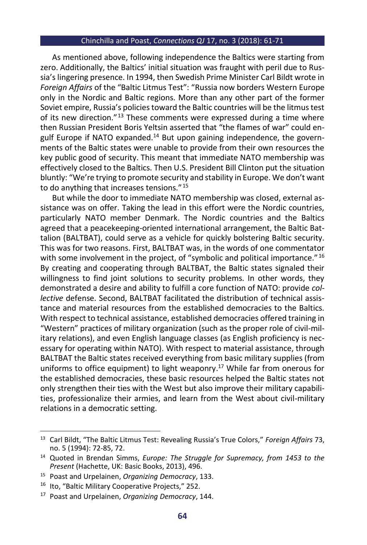As mentioned above, following independence the Baltics were starting from zero. Additionally, the Baltics' initial situation was fraught with peril due to Russia's lingering presence. In 1994, then Swedish Prime Minister Carl Bildt wrote in *Foreign Affairs* of the "Baltic Litmus Test": "Russia now borders Western Europe only in the Nordic and Baltic regions. More than any other part of the former Soviet empire, Russia's policies toward the Baltic countries will be the litmus test of its new direction."<sup>13</sup> These comments were expressed during a time where then Russian President Boris Yeltsin asserted that "the flames of war" could engulf Europe if NATO expanded. $14$  But upon gaining independence, the governments of the Baltic states were unable to provide from their own resources the key public good of security. This meant that immediate NATO membership was effectively closed to the Baltics. Then U.S. President Bill Clinton put the situation bluntly: "We're trying to promote security and stability in Europe. We don't want to do anything that increases tensions." <sup>15</sup>

But while the door to immediate NATO membership was closed, external assistance was on offer. Taking the lead in this effort were the Nordic countries, particularly NATO member Denmark. The Nordic countries and the Baltics agreed that a peacekeeping-oriented international arrangement, the Baltic Battalion (BALTBAT), could serve as a vehicle for quickly bolstering Baltic security. This was for two reasons. First, BALTBAT was, in the words of one commentator with some involvement in the project, of "symbolic and political importance."<sup>16</sup> By creating and cooperating through BALTBAT, the Baltic states signaled their willingness to find joint solutions to security problems. In other words, they demonstrated a desire and ability to fulfill a core function of NATO: provide *collective* defense. Second, BALTBAT facilitated the distribution of technical assistance and material resources from the established democracies to the Baltics. With respect to technical assistance, established democracies offered training in "Western" practices of military organization (such as the proper role of civil-military relations), and even English language classes (as English proficiency is necessary for operating within NATO). With respect to material assistance, through BALTBAT the Baltic states received everything from basic military supplies (from uniforms to office equipment) to light weaponry. <sup>17</sup> While far from onerous for the established democracies, these basic resources helped the Baltic states not only strengthen their ties with the West but also improve their military capabilities, professionalize their armies, and learn from the West about civil-military relations in a democratic setting.

<sup>13</sup> Carl Bildt, "The Baltic Litmus Test: Revealing Russia's True Colors," *Foreign Affairs* 73, no. 5 (1994): 72-85, 72.

<sup>14</sup> Quoted in Brendan Simms, *Europe: The Struggle for Supremacy, from 1453 to the Present* (Hachette, UK: Basic Books, 2013), 496.

<sup>15</sup> Poast and Urpelainen, *Organizing Democracy*, 133.

<sup>16</sup> Ito, "Baltic Military Cooperative Projects," 252.

<sup>17</sup> Poast and Urpelainen, *Organizing Democracy*, 144.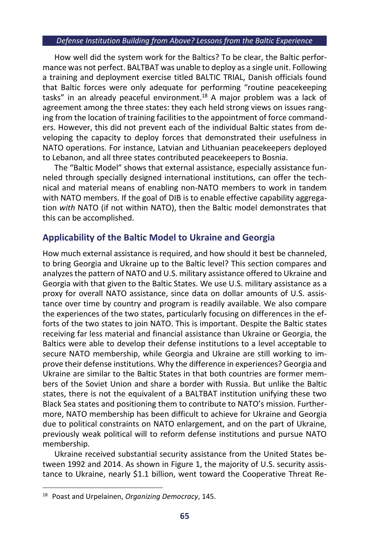#### *Defense Institution Building from Above? Lessons from the Baltic Experience*

How well did the system work for the Baltics? To be clear, the Baltic performance was not perfect. BALTBAT was unable to deploy as a single unit. Following a training and deployment exercise titled BALTIC TRIAL, Danish officials found that Baltic forces were only adequate for performing "routine peacekeeping tasks" in an already peaceful environment. <sup>18</sup> A major problem was a lack of agreement among the three states: they each held strong views on issues ranging from the location of training facilities to the appointment of force commanders. However, this did not prevent each of the individual Baltic states from developing the capacity to deploy forces that demonstrated their usefulness in NATO operations. For instance, Latvian and Lithuanian peacekeepers deployed to Lebanon, and all three states contributed peacekeepers to Bosnia.

The "Baltic Model" shows that external assistance, especially assistance funneled through specially designed international institutions, can offer the technical and material means of enabling non-NATO members to work in tandem with NATO members. If the goal of DIB is to enable effective capability aggregation *with* NATO (if not within NATO), then the Baltic model demonstrates that this can be accomplished.

## **Applicability of the Baltic Model to Ukraine and Georgia**

How much external assistance is required, and how should it best be channeled, to bring Georgia and Ukraine up to the Baltic level? This section compares and analyzes the pattern of NATO and U.S. military assistance offered to Ukraine and Georgia with that given to the Baltic States. We use U.S. military assistance as a proxy for overall NATO assistance, since data on dollar amounts of U.S. assistance over time by country and program is readily available. We also compare the experiences of the two states, particularly focusing on differences in the efforts of the two states to join NATO. This is important. Despite the Baltic states receiving far less material and financial assistance than Ukraine or Georgia, the Baltics were able to develop their defense institutions to a level acceptable to secure NATO membership, while Georgia and Ukraine are still working to improve their defense institutions. Why the difference in experiences? Georgia and Ukraine are similar to the Baltic States in that both countries are former members of the Soviet Union and share a border with Russia. But unlike the Baltic states, there is not the equivalent of a BALTBAT institution unifying these two Black Sea states and positioning them to contribute to NATO's mission. Furthermore, NATO membership has been difficult to achieve for Ukraine and Georgia due to political constraints on NATO enlargement, and on the part of Ukraine, previously weak political will to reform defense institutions and pursue NATO membership.

Ukraine received substantial security assistance from the United States between 1992 and 2014. As shown in Figure 1, the majority of U.S. security assistance to Ukraine, nearly \$1.1 billion, went toward the Cooperative Threat Re-

<sup>18</sup> Poast and Urpelainen, *Organizing Democracy*, 145.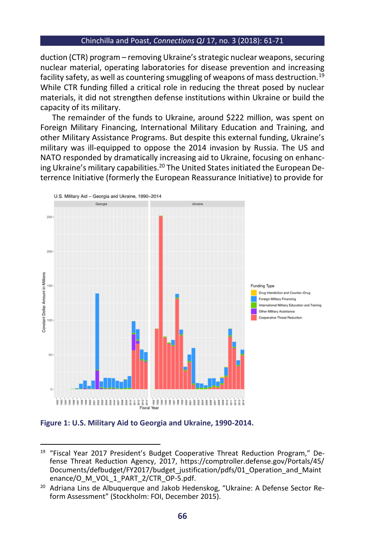duction (CTR) program – removing Ukraine's strategic nuclear weapons, securing nuclear material, operating laboratories for disease prevention and increasing facility safety, as well as countering smuggling of weapons of mass destruction.<sup>19</sup> While CTR funding filled a critical role in reducing the threat posed by nuclear materials, it did not strengthen defense institutions within Ukraine or build the capacity of its military.

The remainder of the funds to Ukraine, around \$222 million, was spent on Foreign Military Financing, International Military Education and Training, and other Military Assistance Programs. But despite this external funding, Ukraine's military was ill-equipped to oppose the 2014 invasion by Russia. The US and NATO responded by dramatically increasing aid to Ukraine, focusing on enhancing Ukraine's military capabilities.<sup>20</sup> The United States initiated the European Deterrence Initiative (formerly the European Reassurance Initiative) to provide for



**Figure 1: U.S. Military Aid to Georgia and Ukraine, 1990-2014.**

<sup>&</sup>lt;sup>19</sup> "Fiscal Year 2017 President's Budget Cooperative Threat Reduction Program," Defense Threat Reduction Agency, 2017, https://comptroller.defense.gov/Portals/45/ Documents/defbudget/FY2017/budget\_justification/pdfs/01\_Operation\_and\_Maint enance/O\_M\_VOL\_1\_PART\_2/CTR\_OP-5.pdf.

<sup>&</sup>lt;sup>20</sup> Adriana Lins de Albuquerque and Jakob Hedenskog, "Ukraine: A Defense Sector Reform Assessment" (Stockholm: FOI, December 2015).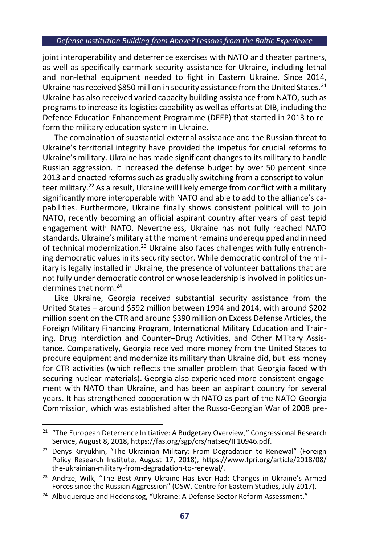#### *Defense Institution Building from Above? Lessons from the Baltic Experience*

joint interoperability and deterrence exercises with NATO and theater partners, as well as specifically earmark security assistance for Ukraine, including lethal and non-lethal equipment needed to fight in Eastern Ukraine. Since 2014, Ukraine has received \$850 million in security assistance from the United States.<sup>21</sup> Ukraine has also received varied capacity building assistance from NATO, such as programs to increase its logistics capability as well as efforts at DIB, including the Defence Education Enhancement Programme (DEEP) that started in 2013 to reform the military education system in Ukraine.

The combination of substantial external assistance and the Russian threat to Ukraine's territorial integrity have provided the impetus for crucial reforms to Ukraine's military. Ukraine has made significant changes to its military to handle Russian aggression. It increased the defense budget by over 50 percent since 2013 and enacted reforms such as gradually switching from a conscript to volunteer military.<sup>22</sup> As a result, Ukraine will likely emerge from conflict with a military significantly more interoperable with NATO and able to add to the alliance's capabilities. Furthermore, Ukraine finally shows consistent political will to join NATO, recently becoming an official aspirant country after years of past tepid engagement with NATO. Nevertheless, Ukraine has not fully reached NATO standards. Ukraine's military at the moment remains underequipped and in need of technical modernization.<sup>23</sup> Ukraine also faces challenges with fully entrenching democratic values in its security sector. While democratic control of the military is legally installed in Ukraine, the presence of volunteer battalions that are not fully under democratic control or whose leadership is involved in politics undermines that norm.<sup>24</sup>

Like Ukraine, Georgia received substantial security assistance from the United States – around \$592 million between 1994 and 2014, with around \$202 million spent on the CTR and around \$390 million on Excess Defense Articles, the Foreign Military Financing Program, International Military Education and Training, Drug Interdiction and Counter−Drug Activities, and Other Military Assistance. Comparatively, Georgia received more money from the United States to procure equipment and modernize its military than Ukraine did, but less money for CTR activities (which reflects the smaller problem that Georgia faced with securing nuclear materials). Georgia also experienced more consistent engagement with NATO than Ukraine, and has been an aspirant country for several years. It has strengthened cooperation with NATO as part of the NATO-Georgia Commission, which was established after the Russo-Georgian War of 2008 pre-

<sup>&</sup>lt;sup>21</sup> "The European Deterrence Initiative: A Budgetary Overview," Congressional Research Service, August 8, 2018, https://fas.org/sgp/crs/natsec/IF10946.pdf.

<sup>&</sup>lt;sup>22</sup> Denys Kiryukhin, "The Ukrainian Military: From Degradation to Renewal" (Foreign Policy Research Institute, August 17, 2018), https://www.fpri.org/article/2018/08/ the-ukrainian-military-from-degradation-to-renewal/.

 $23$  Andrzej Wilk, "The Best Army Ukraine Has Ever Had: Changes in Ukraine's Armed Forces since the Russian Aggression" (OSW, Centre for Eastern Studies, July 2017).

<sup>&</sup>lt;sup>24</sup> Albuquerque and Hedenskog, "Ukraine: A Defense Sector Reform Assessment."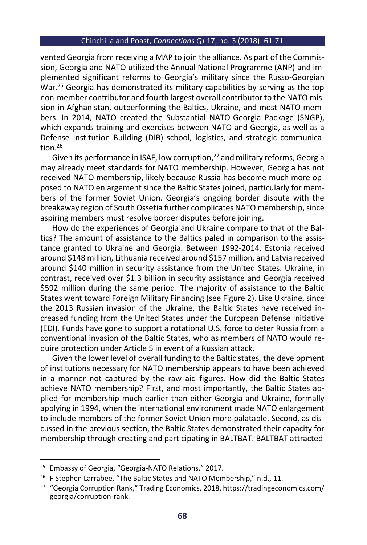vented Georgia from receiving a MAP to join the alliance. As part of the Commission, Georgia and NATO utilized the Annual National Programme (ANP) and implemented significant reforms to Georgia's military since the Russo-Georgian War.<sup>25</sup> Georgia has demonstrated its military capabilities by serving as the top non-member contributor and fourth largest overall contributor to the NATO mission in Afghanistan, outperforming the Baltics, Ukraine, and most NATO members. In 2014, NATO created the Substantial NATO-Georgia Package (SNGP), which expands training and exercises between NATO and Georgia, as well as a Defense Institution Building (DIB) school, logistics, and strategic communication $26$ 

Given its performance in ISAF, low corruption, <sup>27</sup> and military reforms, Georgia may already meet standards for NATO membership. However, Georgia has not received NATO membership, likely because Russia has become much more opposed to NATO enlargement since the Baltic States joined, particularly for members of the former Soviet Union. Georgia's ongoing border dispute with the breakaway region of South Ossetia further complicates NATO membership, since aspiring members must resolve border disputes before joining.

How do the experiences of Georgia and Ukraine compare to that of the Baltics? The amount of assistance to the Baltics paled in comparison to the assistance granted to Ukraine and Georgia. Between 1992-2014, Estonia received around \$148 million, Lithuania received around \$157 million, and Latvia received around \$140 million in security assistance from the United States. Ukraine, in contrast, received over \$1.3 billion in security assistance and Georgia received \$592 million during the same period. The majority of assistance to the Baltic States went toward Foreign Military Financing (see Figure 2). Like Ukraine, since the 2013 Russian invasion of the Ukraine, the Baltic States have received increased funding from the United States under the European Defense Initiative (EDI). Funds have gone to support a rotational U.S. force to deter Russia from a conventional invasion of the Baltic States, who as members of NATO would require protection under Article 5 in event of a Russian attack.

Given the lower level of overall funding to the Baltic states, the development of institutions necessary for NATO membership appears to have been achieved in a manner not captured by the raw aid figures. How did the Baltic States achieve NATO membership? First, and most importantly, the Baltic States applied for membership much earlier than either Georgia and Ukraine, formally applying in 1994, when the international environment made NATO enlargement to include members of the former Soviet Union more palatable. Second, as discussed in the previous section, the Baltic States demonstrated their capacity for membership through creating and participating in BALTBAT. BALTBAT attracted

<sup>&</sup>lt;sup>25</sup> Embassy of Georgia, "Georgia-NATO Relations," 2017.

<sup>&</sup>lt;sup>26</sup> F Stephen Larrabee, "The Baltic States and NATO Membership," n.d., 11.

<sup>27</sup> "Georgia Corruption Rank," Trading Economics, 2018, https://tradingeconomics.com/ georgia/corruption-rank.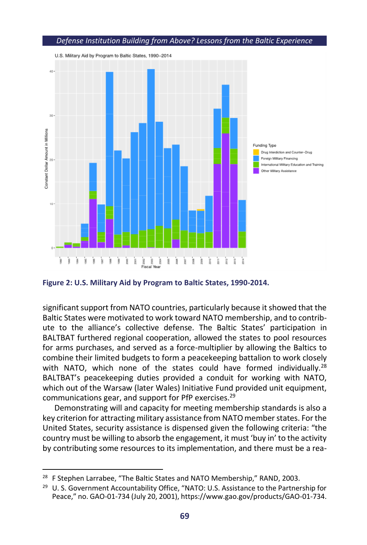

**Figure 2: U.S. Military Aid by Program to Baltic States, 1990-2014.**

significant support from NATO countries, particularly because it showed that the Baltic States were motivated to work toward NATO membership, and to contribute to the alliance's collective defense. The Baltic States' participation in BALTBAT furthered regional cooperation, allowed the states to pool resources for arms purchases, and served as a force-multiplier by allowing the Baltics to combine their limited budgets to form a peacekeeping battalion to work closely with NATO, which none of the states could have formed individually.<sup>28</sup> BALTBAT's peacekeeping duties provided a conduit for working with NATO, which out of the Warsaw (later Wales) Initiative Fund provided unit equipment, communications gear, and support for PfP exercises.<sup>29</sup>

Demonstrating will and capacity for meeting membership standards is also a key criterion for attracting military assistance from NATO member states. For the United States, security assistance is dispensed given the following criteria: "the country must be willing to absorb the engagement, it must 'buy in' to the activity by contributing some resources to its implementation, and there must be a rea-

<sup>&</sup>lt;sup>28</sup> F Stephen Larrabee, "The Baltic States and NATO Membership," RAND, 2003.

<sup>&</sup>lt;sup>29</sup> U. S. Government Accountability Office, "NATO: U.S. Assistance to the Partnership for Peace," no. GAO-01-734 (July 20, 2001), https://www.gao.gov/products/GAO-01-734.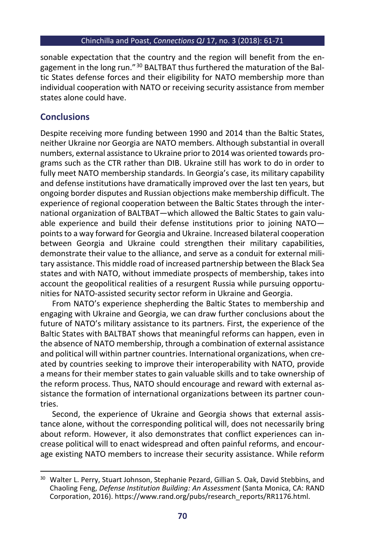sonable expectation that the country and the region will benefit from the engagement in the long run." <sup>30</sup> BALTBAT thus furthered the maturation of the Baltic States defense forces and their eligibility for NATO membership more than individual cooperation with NATO or receiving security assistance from member states alone could have.

## **Conclusions**

Despite receiving more funding between 1990 and 2014 than the Baltic States, neither Ukraine nor Georgia are NATO members. Although substantial in overall numbers, external assistance to Ukraine prior to 2014 was oriented towards programs such as the CTR rather than DIB. Ukraine still has work to do in order to fully meet NATO membership standards. In Georgia's case, its military capability and defense institutions have dramatically improved over the last ten years, but ongoing border disputes and Russian objections make membership difficult. The experience of regional cooperation between the Baltic States through the international organization of BALTBAT—which allowed the Baltic States to gain valuable experience and build their defense institutions prior to joining NATO points to a way forward for Georgia and Ukraine. Increased bilateral cooperation between Georgia and Ukraine could strengthen their military capabilities, demonstrate their value to the alliance, and serve as a conduit for external military assistance. This middle road of increased partnership between the Black Sea states and with NATO, without immediate prospects of membership, takes into account the geopolitical realities of a resurgent Russia while pursuing opportunities for NATO-assisted security sector reform in Ukraine and Georgia.

From NATO's experience shepherding the Baltic States to membership and engaging with Ukraine and Georgia, we can draw further conclusions about the future of NATO's military assistance to its partners. First, the experience of the Baltic States with BALTBAT shows that meaningful reforms can happen, even in the absence of NATO membership, through a combination of external assistance and political will within partner countries. International organizations, when created by countries seeking to improve their interoperability with NATO, provide a means for their member states to gain valuable skills and to take ownership of the reform process. Thus, NATO should encourage and reward with external assistance the formation of international organizations between its partner countries.

Second, the experience of Ukraine and Georgia shows that external assistance alone, without the corresponding political will, does not necessarily bring about reform. However, it also demonstrates that conflict experiences can increase political will to enact widespread and often painful reforms, and encourage existing NATO members to increase their security assistance. While reform

<sup>&</sup>lt;sup>30</sup> Walter L. Perry, Stuart Johnson, Stephanie Pezard, Gillian S. Oak, David Stebbins, and Chaoling Feng, *Defense Institution Building: An Assessment* (Santa Monica, CA: RAND Corporation, 2016). https://www.rand.org/pubs/research\_reports/RR1176.html.